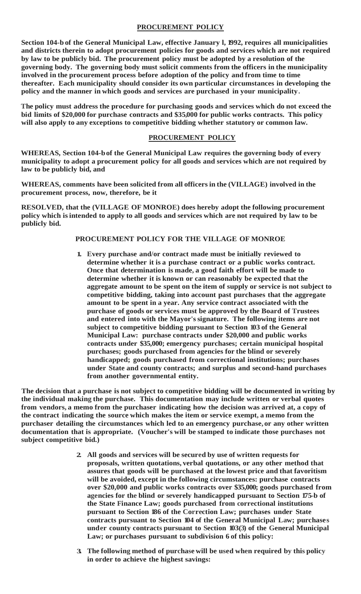## **PROCUREMENT POLICY**

**Section 104-b of the General Municipal Law, effective January l, 1992, requires all municipalities and districts therein to adopt procurement policies for goods and services which are not required by law to be publicly bid. The procurement policy must be adopted by a resolution of the governing body. The governing body must solicit comments from the officers in the municipality involved in the procurement process before adoption of the policy and from time to time thereafter. Each municipality should consider its own particular circumstances in developing the policy and the manner in which goods and services are purchased in your municipality.**

**The policy must address the procedure for purchasing goods and services which do not exceed the bid limits of \$20,000 for purchase contracts and \$35,000 for public works contracts. This policy will also apply to any exceptions to competitive bidding whether statutory or common law.**

## **PROCUREMENT POLICY**

**WHEREAS, Section 104-bof the General Municipal Law requires the governing body of every municipality to adopt a procurement policy for all goods and services which are not required by law to be publicly bid, and**

**WHEREAS, comments have been solicited from all officers in the (VILLAGE) involved in the procurement process, now, therefore, be it**

**RESOLVED, that the (VILLAGE OF MONROE) does hereby adopt the following procurement policy which isintended to apply to all goods and services which are not required by law to be publicly bid.**

## **PROCUREMENT POLICY FOR THE VILLAGE OF MONROE**

**1. Every purchase and/or contract made must be initially reviewed to determine whether it is a purchase contract or a public works contract. Once that determination is made, a good faith effort will be made to determine whether it is known or can reasonably be expected that the aggregate amount to be spent on the item of supply or service is not subject to competitive bidding, taking into account past purchases that the aggregate amount to be spent in a year. Any service contract associated with the purchase of goods or services must be approved by the Board of Trustees and entered into with the Mayor'ssignature. The following items are not subject to competitive bidding pursuant to Section 103 of the General Municipal Law: purchase contracts under \$20,000 and public works contracts under \$35,000; emergency purchases; certain municipal hospital purchases; goods purchased from agencies for the blind or severely handicapped; goods purchased from correctional institutions; purchases under State and county contracts; and surplus and second-hand purchases from another governmental entity.**

**The decision that a purchase is not subject to competitive bidding will be documented in writing by the individual making the purchase. This documentation may include written or verbal quotes from vendors, a memo from the purchaser indicating how the decision was arrived at, a copy of the contract indicating the source which makes the item or service exempt, a memo from the purchaser detailing the circumstances which led to an emergency purchase, or any other written documentation that is appropriate. (Voucher's will be stamped to indicate those purchases not subject competitive bid.)**

- **2. All goods and services will be secured by use of written requests for proposals, written quotations, verbal quotations, or any other method that assures that goods will be purchased at the lowest price and that favoritism will be avoided, except in the following circumstances: purchase contracts over \$20,000 and public works contracts over \$35,000; goods purchased from agencies for the blind or severely handicapped pursuant to Section 175-b of the State Finance Law; goods purchased from correctional institutions pursuant to Section 186 of the Correction Law; purchases under State contracts pursuant to Section 104 of the General Municipal Law; purchases under county contracts pursuant to Section 103(3) of the General Municipal Law; or purchases pursuant to subdivision 6 of this policy:**
- **3. The following method of purchase will be used when required by this policy in order to achieve the highest savings:**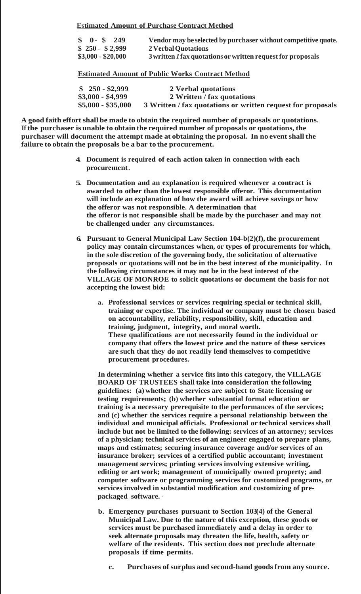**Estimated Amount of Purchase Contract Method**

| $\frac{1}{2}$ 0 - \$ 249 | Vendor may be selected by purchaser without competitive quote. |
|--------------------------|----------------------------------------------------------------|
| $$250 - $2,999$          | 2 Verbal Quotations                                            |
| $$3,000 - $20,000$       | 3 written I fax quotations or written request for proposals    |

## **Estimated Amount of Public Works Contract Method**

| $$250 - $2,999$    | 2 Verbal quotations                                         |
|--------------------|-------------------------------------------------------------|
| $$3,000 - $4,999$  | 2 Written / fax quotations                                  |
| $$5,000 - $35,000$ | 3 Written / fax quotations or written request for proposals |

**A good faith effort shall be made to obtain the required number of proposals or quotations. If the purchaser is unable to obtain the required number of proposals or quotations, the purchaser will document the attempt made at obtaining the proposal. In no event shall the failure to obtain the proposals be a bar to the procurement.**

- **4. Document is required of each action taken in connection with each procurement.**
- **5. Documentation and an explanation is required whenever a contract is awarded to other than the lowest responsible offeror. This documentation will include an explanation of how the award will achieve savings or how the offeror was not responsible. A determination that the offeror is not responsible shall be made by the purchaser and may not be challenged under any circumstances.**
- **6. Pursuant to General Municipal Law Section 104-b(2)(f), the procurement policy may contain circumstances when, or types of procurements for which, in the sole discretion of the governing body, the solicitation of alternative proposals or quotations will not be in the best interest of the municipality. In the following circumstances it may not be in the best interest of the VILLAGE OF MONROE to solicit quotations or document the basis for not accepting the lowest bid:**
	- **a. Professional services or services requiring special or technical skill, training or expertise. The individual or company must be chosen based on accountability, reliability, responsibility, skill, education and training, judgment, integrity, and moral worth. These qualifications are not necessarily found in the individual or company that offers the lowest price and the nature of these services are such that they do not readily lend themselves to competitive procurement procedures.**

**In determining whether a service fits into this category, the VILLAGE BOARD OF TRUSTEES shall take into consideration the following guidelines: (a) whether the services are subject to State licensing or testing requirements; (b) whether substantial formal education or training is a necessary prerequisite to the performances of the services; and (c) whether the services require a personal relationship between the individual and municipal officials. Professional or technical services shall include but not be limited to the following: services of an attorney; services of a physician; technical services of an engineer engaged to prepare plans, maps and estimates; securing insurance coverage and/or services of an insurance broker; services of a certified public accountant; investment management services; printing services involving extensive writing, editing or art work; management of municipally owned property; and computer software or programming services for customized programs, or services involved in substantial modification and customizing of prepackaged software. ·**

- **b. Emergency purchases pursuant to Section 103(4) of the General Municipal Law. Due to the nature of this exception, these goods or services must be purchased immediately and a delay in order to seek alternate proposals may threaten the life, health, safety or welfare of the residents. This section does not preclude alternate proposals if time permits.**
	- **c. Purchases of surplus and second-hand goodsfrom any source.**